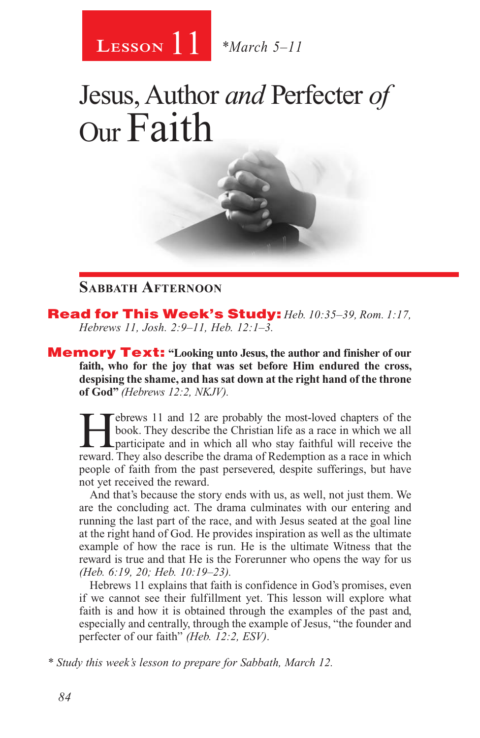

# Jesus, Author *and* Perfecter *of* Our Faith

#### **Sabbath Afternoon**

Read for This Week's Study: *Heb. 10:35–39, Rom. 1:17, Hebrews 11, Josh. 2:9–11, Heb. 12:1–3.*

Memory Text: **"Looking unto Jesus, the author and finisher of our faith, who for the joy that was set before Him endured the cross, despising the shame, and has sat down at the right hand of the throne of God"** *(Hebrews 12:2, NKJV).*

Febrews 11 and 12 are probably the most-loved chapters of the book. They describe the Christian life as a race in which we all participate and in which all who stay faithful will receive the reward. They also describe the book. They describe the Christian life as a race in which we all reward. They also describe the drama of Redemption as a race in which people of faith from the past persevered, despite sufferings, but have not yet received the reward.

And that's because the story ends with us, as well, not just them. We are the concluding act. The drama culminates with our entering and running the last part of the race, and with Jesus seated at the goal line at the right hand of God. He provides inspiration as well as the ultimate example of how the race is run. He is the ultimate Witness that the reward is true and that He is the Forerunner who opens the way for us *(Heb. 6:19, 20; Heb. 10:19–23).*

Hebrews 11 explains that faith is confidence in God's promises, even if we cannot see their fulfillment yet. This lesson will explore what faith is and how it is obtained through the examples of the past and, especially and centrally, through the example of Jesus, "the founder and perfecter of our faith" *(Heb. 12:2, ESV)*.

*\* Study this week's lesson to prepare for Sabbath, March 12.*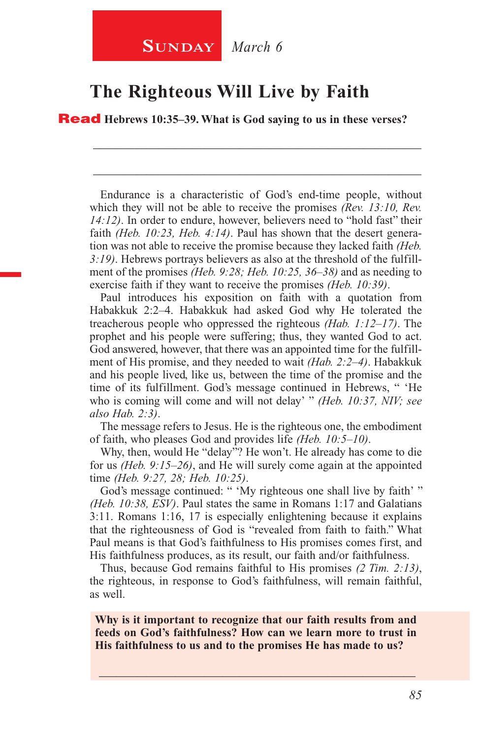### **The Righteous Will Live by Faith**

Read **Hebrews 10:35–39. What is God saying to us in these verses?**

Endurance is a characteristic of God's end-time people, without which they will not be able to receive the promises *(Rev. 13:10, Rev. 14:12)*. In order to endure, however, believers need to "hold fast" their faith *(Heb. 10:23, Heb. 4:14)*. Paul has shown that the desert generation was not able to receive the promise because they lacked faith *(Heb. 3:19)*. Hebrews portrays believers as also at the threshold of the fulfillment of the promises *(Heb. 9:28; Heb. 10:25, 36–38)* and as needing to exercise faith if they want to receive the promises *(Heb. 10:39)*.

\_\_\_\_\_\_\_\_\_\_\_\_\_\_\_\_\_\_\_\_\_\_\_\_\_\_\_\_\_\_\_\_\_\_\_\_\_\_\_\_\_\_\_\_\_\_\_\_\_\_\_\_\_\_\_\_

\_\_\_\_\_\_\_\_\_\_\_\_\_\_\_\_\_\_\_\_\_\_\_\_\_\_\_\_\_\_\_\_\_\_\_\_\_\_\_\_\_\_\_\_\_\_\_\_\_\_\_\_\_\_\_\_

Paul introduces his exposition on faith with a quotation from Habakkuk 2:2–4. Habakkuk had asked God why He tolerated the treacherous people who oppressed the righteous *(Hab. 1:12–17)*. The prophet and his people were suffering; thus, they wanted God to act. God answered, however, that there was an appointed time for the fulfillment of His promise, and they needed to wait *(Hab. 2:2–4)*. Habakkuk and his people lived, like us, between the time of the promise and the time of its fulfillment. God's message continued in Hebrews, " 'He who is coming will come and will not delay' " *(Heb. 10:37, NIV; see also Hab. 2:3)*.

The message refers to Jesus. He is the righteous one, the embodiment of faith, who pleases God and provides life *(Heb. 10:5–10)*.

Why, then, would He "delay"? He won't. He already has come to die for us *(Heb. 9:15–26)*, and He will surely come again at the appointed time *(Heb. 9:27, 28; Heb. 10:25)*.

God's message continued: " 'My righteous one shall live by faith' " *(Heb. 10:38, ESV)*. Paul states the same in Romans 1:17 and Galatians 3:11. Romans 1:16, 17 is especially enlightening because it explains that the righteousness of God is "revealed from faith to faith." What Paul means is that God's faithfulness to His promises comes first, and His faithfulness produces, as its result, our faith and/or faithfulness.

Thus, because God remains faithful to His promises *(2 Tim. 2:13)*, the righteous, in response to God's faithfulness, will remain faithful, as well.

**Why is it important to recognize that our faith results from and feeds on God's faithfulness? How can we learn more to trust in His faithfulness to us and to the promises He has made to us?**

\_\_\_\_\_\_\_\_\_\_\_\_\_\_\_\_\_\_\_\_\_\_\_\_\_\_\_\_\_\_\_\_\_\_\_\_\_\_\_\_\_\_\_\_\_\_\_\_\_\_\_\_\_\_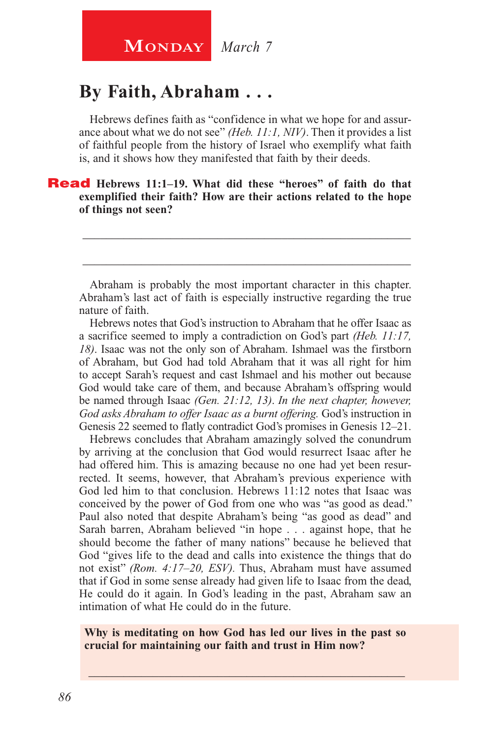### **By Faith, Abraham . . .**

Hebrews defines faith as "confidence in what we hope for and assurance about what we do not see" *(Heb. 11:1, NIV)*. Then it provides a list of faithful people from the history of Israel who exemplify what faith is, and it shows how they manifested that faith by their deeds.

#### Read **Hebrews 11:1–19. What did these "heroes" of faith do that exemplified their faith? How are their actions related to the hope of things not seen?**

Abraham is probably the most important character in this chapter. Abraham's last act of faith is especially instructive regarding the true nature of faith.

\_\_\_\_\_\_\_\_\_\_\_\_\_\_\_\_\_\_\_\_\_\_\_\_\_\_\_\_\_\_\_\_\_\_\_\_\_\_\_\_\_\_\_\_\_\_\_\_\_\_\_\_\_\_\_\_

\_\_\_\_\_\_\_\_\_\_\_\_\_\_\_\_\_\_\_\_\_\_\_\_\_\_\_\_\_\_\_\_\_\_\_\_\_\_\_\_\_\_\_\_\_\_\_\_\_\_\_\_\_\_\_\_

Hebrews notes that God's instruction to Abraham that he offer Isaac as a sacrifice seemed to imply a contradiction on God's part *(Heb. 11:17, 18)*. Isaac was not the only son of Abraham. Ishmael was the firstborn of Abraham, but God had told Abraham that it was all right for him to accept Sarah's request and cast Ishmael and his mother out because God would take care of them, and because Abraham's offspring would be named through Isaac *(Gen. 21:12, 13)*. *In the next chapter, however, God asks Abraham to offer Isaac as a burnt offering.* God's instruction in Genesis 22 seemed to flatly contradict God's promises in Genesis 12–21.

Hebrews concludes that Abraham amazingly solved the conundrum by arriving at the conclusion that God would resurrect Isaac after he had offered him. This is amazing because no one had yet been resurrected. It seems, however, that Abraham's previous experience with God led him to that conclusion. Hebrews 11:12 notes that Isaac was conceived by the power of God from one who was "as good as dead." Paul also noted that despite Abraham's being "as good as dead" and Sarah barren, Abraham believed "in hope . . . against hope, that he should become the father of many nations" because he believed that God "gives life to the dead and calls into existence the things that do not exist" *(Rom. 4:17–20, ESV).* Thus, Abraham must have assumed that if God in some sense already had given life to Isaac from the dead, He could do it again. In God's leading in the past, Abraham saw an intimation of what He could do in the future.

#### **Why is meditating on how God has led our lives in the past so crucial for maintaining our faith and trust in Him now?**

\_\_\_\_\_\_\_\_\_\_\_\_\_\_\_\_\_\_\_\_\_\_\_\_\_\_\_\_\_\_\_\_\_\_\_\_\_\_\_\_\_\_\_\_\_\_\_\_\_\_\_\_\_\_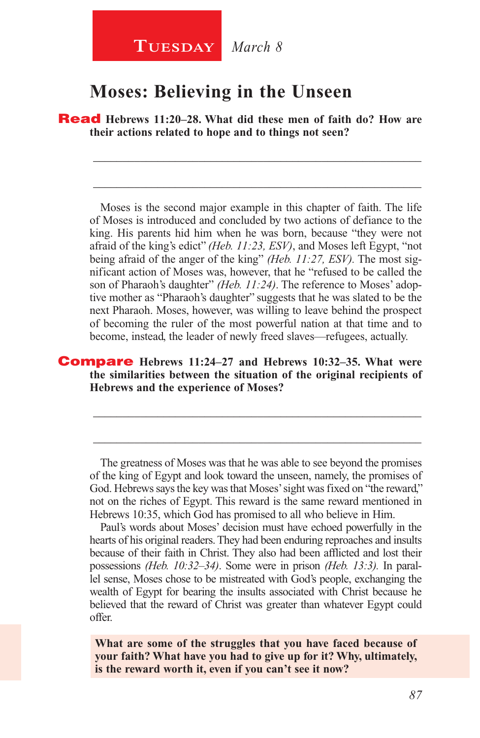#### **Tuesday** *March 8*

#### **Moses: Believing in the Unseen**

Read **Hebrews 11:20–28. What did these men of faith do? How are their actions related to hope and to things not seen?**

\_\_\_\_\_\_\_\_\_\_\_\_\_\_\_\_\_\_\_\_\_\_\_\_\_\_\_\_\_\_\_\_\_\_\_\_\_\_\_\_\_\_\_\_\_\_\_\_\_\_\_\_\_\_\_\_

\_\_\_\_\_\_\_\_\_\_\_\_\_\_\_\_\_\_\_\_\_\_\_\_\_\_\_\_\_\_\_\_\_\_\_\_\_\_\_\_\_\_\_\_\_\_\_\_\_\_\_\_\_\_\_\_

Moses is the second major example in this chapter of faith. The life of Moses is introduced and concluded by two actions of defiance to the king. His parents hid him when he was born, because "they were not afraid of the king's edict" *(Heb. 11:23, ESV)*, and Moses left Egypt, "not being afraid of the anger of the king" *(Heb. 11:27, ESV).* The most significant action of Moses was, however, that he "refused to be called the son of Pharaoh's daughter" *(Heb. 11:24)*. The reference to Moses' adoptive mother as "Pharaoh's daughter" suggests that he was slated to be the next Pharaoh. Moses, however, was willing to leave behind the prospect of becoming the ruler of the most powerful nation at that time and to become, instead, the leader of newly freed slaves—refugees, actually.

#### Compare **Hebrews 11:24–27 and Hebrews 10:32–35. What were the similarities between the situation of the original recipients of Hebrews and the experience of Moses?**

The greatness of Moses was that he was able to see beyond the promises of the king of Egypt and look toward the unseen, namely, the promises of God. Hebrews says the key was that Moses' sight was fixed on "the reward," not on the riches of Egypt. This reward is the same reward mentioned in Hebrews 10:35, which God has promised to all who believe in Him.

\_\_\_\_\_\_\_\_\_\_\_\_\_\_\_\_\_\_\_\_\_\_\_\_\_\_\_\_\_\_\_\_\_\_\_\_\_\_\_\_\_\_\_\_\_\_\_\_\_\_\_\_\_\_\_\_

\_\_\_\_\_\_\_\_\_\_\_\_\_\_\_\_\_\_\_\_\_\_\_\_\_\_\_\_\_\_\_\_\_\_\_\_\_\_\_\_\_\_\_\_\_\_\_\_\_\_\_\_\_\_\_\_

Paul's words about Moses' decision must have echoed powerfully in the hearts of his original readers. They had been enduring reproaches and insults because of their faith in Christ. They also had been afflicted and lost their possessions *(Heb. 10:32–34)*. Some were in prison *(Heb. 13:3).* In parallel sense, Moses chose to be mistreated with God's people, exchanging the wealth of Egypt for bearing the insults associated with Christ because he believed that the reward of Christ was greater than whatever Egypt could offer.

**What are some of the struggles that you have faced because of your faith? What have you had to give up for it? Why, ultimately, is the reward worth it, even if you can't see it now?**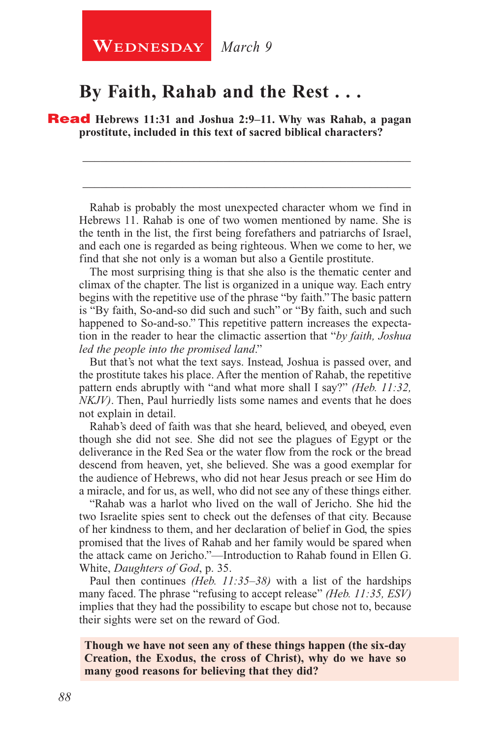### **WEDNESDAY** March 9

#### **By Faith, Rahab and the Rest . . .**

Read **Hebrews 11:31 and Joshua 2:9–11. Why was Rahab, a pagan prostitute, included in this text of sacred biblical characters?**

Rahab is probably the most unexpected character whom we find in Hebrews 11. Rahab is one of two women mentioned by name. She is the tenth in the list, the first being forefathers and patriarchs of Israel, and each one is regarded as being righteous. When we come to her, we find that she not only is a woman but also a Gentile prostitute.

\_\_\_\_\_\_\_\_\_\_\_\_\_\_\_\_\_\_\_\_\_\_\_\_\_\_\_\_\_\_\_\_\_\_\_\_\_\_\_\_\_\_\_\_\_\_\_\_\_\_\_\_\_\_\_\_

\_\_\_\_\_\_\_\_\_\_\_\_\_\_\_\_\_\_\_\_\_\_\_\_\_\_\_\_\_\_\_\_\_\_\_\_\_\_\_\_\_\_\_\_\_\_\_\_\_\_\_\_\_\_\_\_

The most surprising thing is that she also is the thematic center and climax of the chapter. The list is organized in a unique way. Each entry begins with the repetitive use of the phrase "by faith." The basic pattern is "By faith, So-and-so did such and such" or "By faith, such and such happened to So-and-so." This repetitive pattern increases the expectation in the reader to hear the climactic assertion that "*by faith, Joshua led the people into the promised land*."

But that's not what the text says. Instead, Joshua is passed over, and the prostitute takes his place. After the mention of Rahab, the repetitive pattern ends abruptly with "and what more shall I say?" *(Heb. 11:32, NKJV)*. Then, Paul hurriedly lists some names and events that he does not explain in detail.

Rahab's deed of faith was that she heard, believed, and obeyed, even though she did not see. She did not see the plagues of Egypt or the deliverance in the Red Sea or the water flow from the rock or the bread descend from heaven, yet, she believed. She was a good exemplar for the audience of Hebrews, who did not hear Jesus preach or see Him do a miracle, and for us, as well, who did not see any of these things either.

"Rahab was a harlot who lived on the wall of Jericho. She hid the two Israelite spies sent to check out the defenses of that city. Because of her kindness to them, and her declaration of belief in God, the spies promised that the lives of Rahab and her family would be spared when the attack came on Jericho."—Introduction to Rahab found in Ellen G. White, *Daughters of God*, p. 35.

Paul then continues *(Heb. 11:35–38)* with a list of the hardships many faced. The phrase "refusing to accept release" *(Heb. 11:35, ESV)*  implies that they had the possibility to escape but chose not to, because their sights were set on the reward of God.

#### **Though we have not seen any of these things happen (the six-day Creation, the Exodus, the cross of Christ), why do we have so many good reasons for believing that they did?**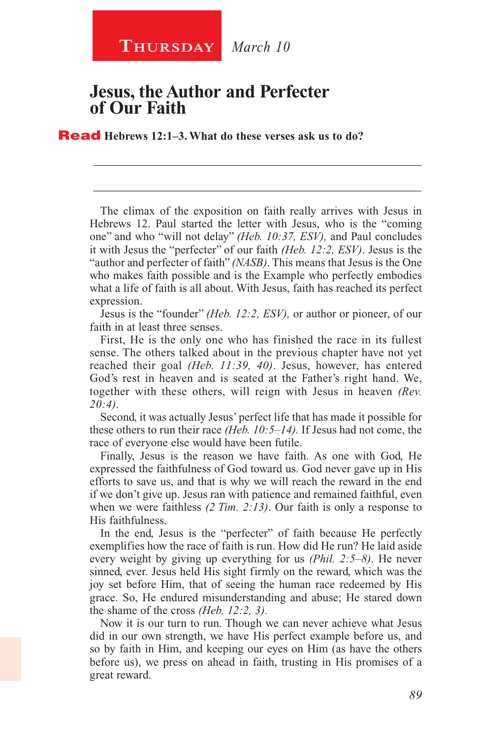### **Thursday** *March 10*

#### **Jesus, the Author and Perfecter of Our Faith**

Read **Hebrews 12:1–3. What do these verses ask us to do?**

The climax of the exposition on faith really arrives with Jesus in Hebrews 12. Paul started the letter with Jesus, who is the "coming one" and who "will not delay" *(Heb. 10:37, ESV),* and Paul concludes it with Jesus the "perfecter" of our faith *(Heb. 12:2, ESV)*. Jesus is the "author and perfecter of faith" *(NASB)*. This means that Jesus is the One who makes faith possible and is the Example who perfectly embodies what a life of faith is all about. With Jesus, faith has reached its perfect expression.

\_\_\_\_\_\_\_\_\_\_\_\_\_\_\_\_\_\_\_\_\_\_\_\_\_\_\_\_\_\_\_\_\_\_\_\_\_\_\_\_\_\_\_\_\_\_\_\_\_\_\_\_\_\_\_\_

\_\_\_\_\_\_\_\_\_\_\_\_\_\_\_\_\_\_\_\_\_\_\_\_\_\_\_\_\_\_\_\_\_\_\_\_\_\_\_\_\_\_\_\_\_\_\_\_\_\_\_\_\_\_\_\_

Jesus is the "founder" *(Heb. 12:2, ESV),* or author or pioneer, of our faith in at least three senses.

First, He is the only one who has finished the race in its fullest sense. The others talked about in the previous chapter have not yet reached their goal *(Heb. 11:39, 40)*. Jesus, however, has entered God's rest in heaven and is seated at the Father's right hand. We, together with these others, will reign with Jesus in heaven *(Rev. 20:4).*

Second, it was actually Jesus' perfect life that has made it possible for these others to run their race *(Heb. 10:5–14).* If Jesus had not come, the race of everyone else would have been futile.

Finally, Jesus is the reason we have faith. As one with God, He expressed the faithfulness of God toward us. God never gave up in His efforts to save us, and that is why we will reach the reward in the end if we don't give up. Jesus ran with patience and remained faithful, even when we were faithless *(2 Tim. 2:13)*. Our faith is only a response to His faithfulness.

In the end, Jesus is the "perfecter" of faith because He perfectly exemplifies how the race of faith is run. How did He run? He laid aside every weight by giving up everything for us *(Phil. 2:5–8)*. He never sinned, ever. Jesus held His sight firmly on the reward, which was the joy set before Him, that of seeing the human race redeemed by His grace. So, He endured misunderstanding and abuse; He stared down the shame of the cross *(Heb. 12:2, 3).*

Now it is our turn to run. Though we can never achieve what Jesus did in our own strength, we have His perfect example before us, and so by faith in Him, and keeping our eyes on Him (as have the others before us), we press on ahead in faith, trusting in His promises of a great reward.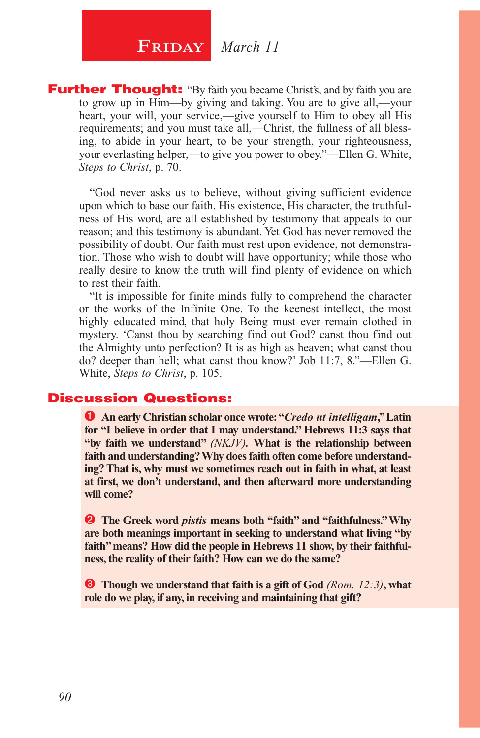### $\begin{array}{|c|c|c|} \hline \textbf{FRIDAY} & \textit{March 11} \hline \end{array}$

**Further Thought:** "By faith you became Christ's, and by faith you are to grow up in Him—by giving and taking. You are to give all,—your heart, your will, your service,—give yourself to Him to obey all His requirements; and you must take all,—Christ, the fullness of all blessing, to abide in your heart, to be your strength, your righteousness, your everlasting helper,—to give you power to obey."—Ellen G. White, *Steps to Christ*, p. 70.

"God never asks us to believe, without giving sufficient evidence upon which to base our faith. His existence, His character, the truthfulness of His word, are all established by testimony that appeals to our reason; and this testimony is abundant. Yet God has never removed the possibility of doubt. Our faith must rest upon evidence, not demonstration. Those who wish to doubt will have opportunity; while those who really desire to know the truth will find plenty of evidence on which to rest their faith.

"It is impossible for finite minds fully to comprehend the character or the works of the Infinite One. To the keenest intellect, the most highly educated mind, that holy Being must ever remain clothed in mystery. 'Canst thou by searching find out God? canst thou find out the Almighty unto perfection? It is as high as heaven; what canst thou do? deeper than hell; what canst thou know?' Job 11:7, 8."—Ellen G. White, *Steps to Christ*, p. 105.

#### Discussion Questions:

 **An early Christian scholar once wrote: "***Credo ut intelligam***," Latin for "I believe in order that I may understand." Hebrews 11:3 says that "by faith we understand"** *(NKJV).* **What is the relationship between faith and understanding? Why does faith often come before understanding? That is, why must we sometimes reach out in faith in what, at least at first, we don't understand, and then afterward more understanding will come?**

**2** The Greek word *pistis* means both "faith" and "faithfulness." Why **are both meanings important in seeking to understand what living "by faith" means? How did the people in Hebrews 11 show, by their faithfulness, the reality of their faith? How can we do the same?**

 **Though we understand that faith is a gift of God** *(Rom. 12:3)***, what role do we play, if any, in receiving and maintaining that gift?**